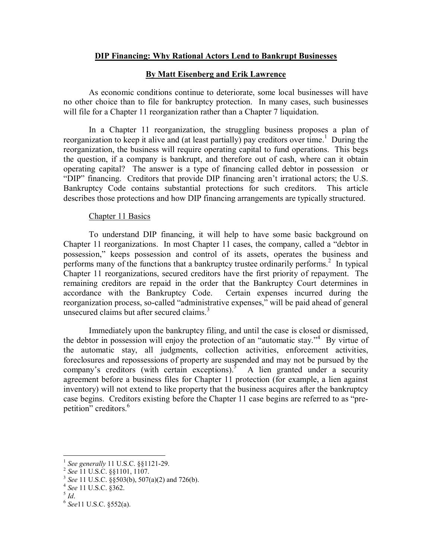# **DIP Financing: Why Rational Actors Lend to Bankrupt Businesses**

# **By Matt Eisenberg and Erik Lawrence**

As economic conditions continue to deteriorate, some local businesses will have no other choice than to file for bankruptcy protection. In many cases, such businesses will file for a Chapter 11 reorganization rather than a Chapter 7 liquidation.

In a Chapter 11 reorganization, the struggling business proposes a plan of reorganization to keep it alive and (at least partially) pay creditors over time.<sup>1</sup> During the reorganization, the business will require operating capital to fund operations. This begs the question, if a company is bankrupt, and therefore out of cash, where can it obtain operating capital? The answer is a type of financing called debtor in possession or "DIP" financing. Creditors that provide DIP financing aren't irrational actors; the U.S. Bankruptcy Code contains substantial protections for such creditors. This article describes those protections and how DIP financing arrangements are typically structured.

### Chapter 11 Basics

To understand DIP financing, it will help to have some basic background on Chapter 11 reorganizations. In most Chapter 11 cases, the company, called a "debtor in possession," keeps possession and control of its assets, operates the business and performs many of the functions that a bankruptcy trustee ordinarily performs.<sup>2</sup> In typical Chapter 11 reorganizations, secured creditors have the first priority of repayment. The remaining creditors are repaid in the order that the Bankruptcy Court determines in accordance with the Bankruptcy Code. Certain expenses incurred during the reorganization process, so-called "administrative expenses," will be paid ahead of general unsecured claims but after secured claims.<sup>3</sup>

Immediately upon the bankruptcy filing, and until the case is closed or dismissed, the debtor in possession will enjoy the protection of an "automatic stay."<sup>4</sup> By virtue of the automatic stay, all judgments, collection activities, enforcement activities, foreclosures and repossessions of property are suspended and may not be pursued by the company's creditors (with certain exceptions). $5$  A lien granted under a security agreement before a business files for Chapter 11 protection (for example, a lien against inventory) will not extend to like property that the business acquires after the bankruptcy case begins. Creditors existing before the Chapter 11 case begins are referred to as "prepetition" creditors. 6

 $\overline{a}$ 

<sup>1</sup> *See generally* 11 U.S.C. §§1121-29.

<sup>2</sup> *See* 11 U.S.C. §§1101, 1107.

<sup>3</sup> *See* 11 U.S.C. §§503(b), 507(a)(2) and 726(b).

<sup>4</sup> *See* 11 U.S.C. §362.

<sup>5</sup> *Id*.

<sup>6</sup> *See*11 U.S.C. §552(a).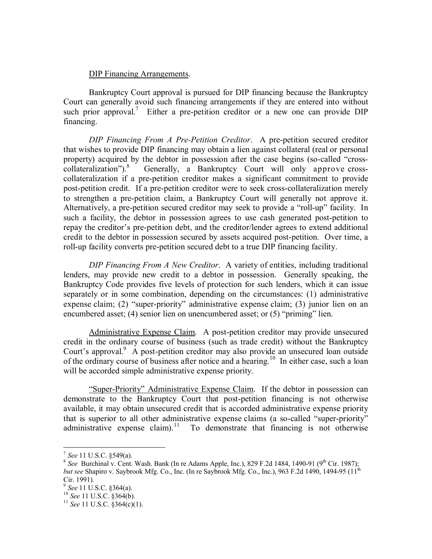### DIP Financing Arrangements.

Bankruptcy Court approval is pursued for DIP financing because the Bankruptcy Court can generally avoid such financing arrangements if they are entered into without such prior approval.<sup>7</sup> Either a pre-petition creditor or a new one can provide DIP financing.

*DIP Financing From A Pre-Petition Creditor*. A pre-petition secured creditor that wishes to provide DIP financing may obtain a lien against collateral (real or personal property) acquired by the debtor in possession after the case begins (so-called "crosscollateralization").<sup>8</sup> Generally, a Bankruptcy Court will only approve crosscollateralization if a pre-petition creditor makes a significant commitment to provide post-petition credit. If a pre-petition creditor were to seek cross-collateralization merely to strengthen a pre-petition claim, a Bankruptcy Court will generally not approve it. Alternatively, a pre-petition secured creditor may seek to provide a "roll-up" facility. In such a facility, the debtor in possession agrees to use cash generated post-petition to repay the creditor's pre-petition debt, and the creditor/lender agrees to extend additional credit to the debtor in possession secured by assets acquired post-petition. Over time, a roll-up facility converts pre-petition secured debt to a true DIP financing facility.

*DIP Financing From A New Creditor*. A variety of entities, including traditional lenders, may provide new credit to a debtor in possession. Generally speaking, the Bankruptcy Code provides five levels of protection for such lenders, which it can issue separately or in some combination, depending on the circumstances: (1) administrative expense claim; (2) "super-priority" administrative expense claim; (3) junior lien on an encumbered asset; (4) senior lien on unencumbered asset; or (5) "priming" lien.

Administrative Expense Claim. A post-petition creditor may provide unsecured credit in the ordinary course of business (such as trade credit) without the Bankruptcy Court's approval.<sup>9</sup> A post-petition creditor may also provide an unsecured loan outside of the ordinary course of business after notice and a hearing.<sup>10</sup> In either case, such a loan will be accorded simple administrative expense priority.

"Super-Priority" Administrative Expense Claim. If the debtor in possession can demonstrate to the Bankruptcy Court that post-petition financing is not otherwise available, it may obtain unsecured credit that is accorded administrative expense priority that is superior to all other administrative expense claims (a so-called "super-priority" administrative expense claim).<sup>11</sup> To demonstrate that financing is not otherwise

 $\overline{a}$ 

<sup>7</sup> *See* 11 U.S.C. §549(a).

<sup>&</sup>lt;sup>8</sup> See Burchinal v. Cent. Wash. Bank (In re Adams Apple, Inc.), 829 F.2d 1484, 1490-91 (9<sup>th</sup> Cir. 1987); *but see* Shapiro v. Saybrook Mfg. Co., Inc. (In re Saybrook Mfg. Co., Inc.), 963 F.2d 1490, 1494-95 (11<sup>th</sup>) Cir. 1991).

<sup>9</sup> *See* 11 U.S.C. §364(a).

<sup>10</sup> *See* 11 U.S.C. §364(b).

<sup>11</sup> *See* 11 U.S.C. §364(c)(1).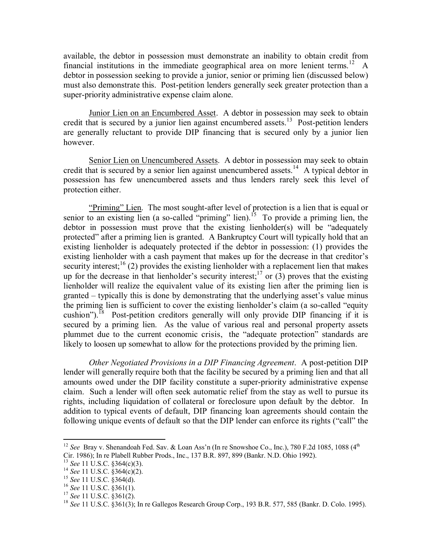available, the debtor in possession must demonstrate an inability to obtain credit from financial institutions in the immediate geographical area on more lenient terms.<sup>12</sup> A debtor in possession seeking to provide a junior, senior or priming lien (discussed below) must also demonstrate this. Post-petition lenders generally seek greater protection than a super-priority administrative expense claim alone.

Junior Lien on an Encumbered **Asset**. A debtor in possession may seek to obtain credit that is secured by a junior lien against encumbered assets.<sup>13</sup> Post-petition lenders are generally reluctant to provide DIP financing that is secured only by a junior lien however.

Senior Lien on Unencumbered Assets. A debtor in possession may seek to obtain credit that is secured by a senior lien against unencumbered assets.<sup>14</sup> A typical debtor in possession has few unencumbered assets and thus lenders rarely seek this level of protection either.

"Priming" Lien. The most sought-after level of protection is a lien that is equal or senior to an existing lien (a so-called "priming" lien).<sup>15</sup> To provide a priming lien, the debtor in possession must prove that the existing lienholder(s) will be "adequately protected" after a priming lien is granted. A Bankruptcy Court will typically hold that an existing lienholder is adequately protected if the debtor in possession: (1) provides the existing lienholder with a cash payment that makes up for the decrease in that creditor's security interest;<sup>16</sup> (2) provides the existing lienholder with a replacement lien that makes up for the decrease in that lienholder's security interest;<sup>17</sup> or (3) proves that the existing lienholder will realize the equivalent value of its existing lien after the priming lien is granted – typically this is done by demonstrating that the underlying asset's value minus the priming lien is sufficient to cover the existing lienholder's claim (a so-called "equity cushion").<sup>18</sup> Post-petition creditors generally will only provide DIP financing if it is secured by a priming lien. As the value of various real and personal property assets plummet due to the current economic crisis, the "adequate protection" standards are likely to loosen up somewhat to allow for the protections provided by the priming lien.

*Other Negotiated Provisions in a DIP Financing Agreement*. A post-petition DIP lender will generally require both that the facility be secured by a priming lien and that all amounts owed under the DIP facility constitute a super-priority administrative expense claim. Such a lender will often seek automatic relief from the stay as well to pursue its rights, including liquidation of collateral or foreclosure upon default by the debtor. In addition to typical events of default, DIP financing loan agreements should contain the following unique events of default so that the DIP lender can enforce its rights ("call" the

 $\overline{a}$ 

<sup>&</sup>lt;sup>12</sup> *See* Bray v. Shenandoah Fed. Sav. & Loan Ass'n (In re Snowshoe Co., Inc.), 780 F.2d 1085, 1088 (4<sup>th</sup> Cir. 1986); In re Plabell Rubber Prods., Inc., 137 B.R. 897, 899 (Bankr. N.D. Ohio 1992).

<sup>13</sup> *See* 11 U.S.C. §364(c)(3).

<sup>14</sup> *See* 11 U.S.C. §364(c)(2).

<sup>15</sup> *See* 11 U.S.C. §364(d).

<sup>16</sup> *See* 11 U.S.C. §361(1).

<sup>17</sup> *See* 11 U.S.C. §361(2).

<sup>18</sup> *See* 11 U.S.C. §361(3); In re Gallegos Research Group Corp., 193 B.R. 577, 585 (Bankr. D. Colo. 1995).